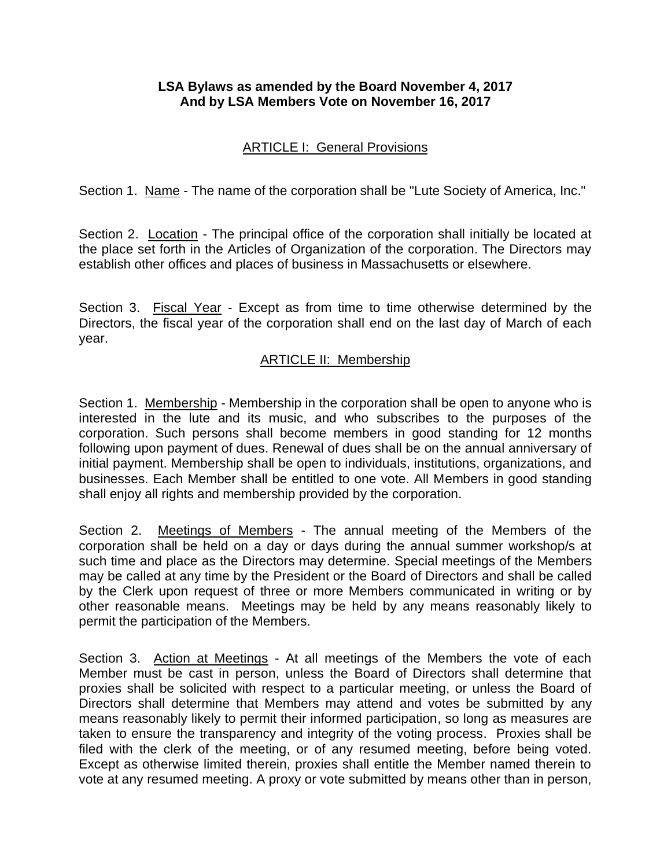### **LSA Bylaws as amended by the Board November 4, 2017 And by LSA Members Vote on November 16, 2017**

### ARTICLE I: General Provisions

Section 1. Name - The name of the corporation shall be "Lute Society of America, Inc."

Section 2. Location - The principal office of the corporation shall initially be located at the place set forth in the Articles of Organization of the corporation. The Directors may establish other offices and places of business in Massachusetts or elsewhere.

Section 3. Fiscal Year - Except as from time to time otherwise determined by the Directors, the fiscal year of the corporation shall end on the last day of March of each year.

#### ARTICLE II: Membership

Section 1. Membership - Membership in the corporation shall be open to anyone who is interested in the lute and its music, and who subscribes to the purposes of the corporation. Such persons shall become members in good standing for 12 months following upon payment of dues. Renewal of dues shall be on the annual anniversary of initial payment. Membership shall be open to individuals, institutions, organizations, and businesses. Each Member shall be entitled to one vote. All Members in good standing shall enjoy all rights and membership provided by the corporation.

Section 2. Meetings of Members - The annual meeting of the Members of the corporation shall be held on a day or days during the annual summer workshop/s at such time and place as the Directors may determine. Special meetings of the Members may be called at any time by the President or the Board of Directors and shall be called by the Clerk upon request of three or more Members communicated in writing or by other reasonable means. Meetings may be held by any means reasonably likely to permit the participation of the Members.

Section 3. Action at Meetings - At all meetings of the Members the vote of each Member must be cast in person, unless the Board of Directors shall determine that proxies shall be solicited with respect to a particular meeting, or unless the Board of Directors shall determine that Members may attend and votes be submitted by any means reasonably likely to permit their informed participation, so long as measures are taken to ensure the transparency and integrity of the voting process. Proxies shall be filed with the clerk of the meeting, or of any resumed meeting, before being voted. Except as otherwise limited therein, proxies shall entitle the Member named therein to vote at any resumed meeting. A proxy or vote submitted by means other than in person,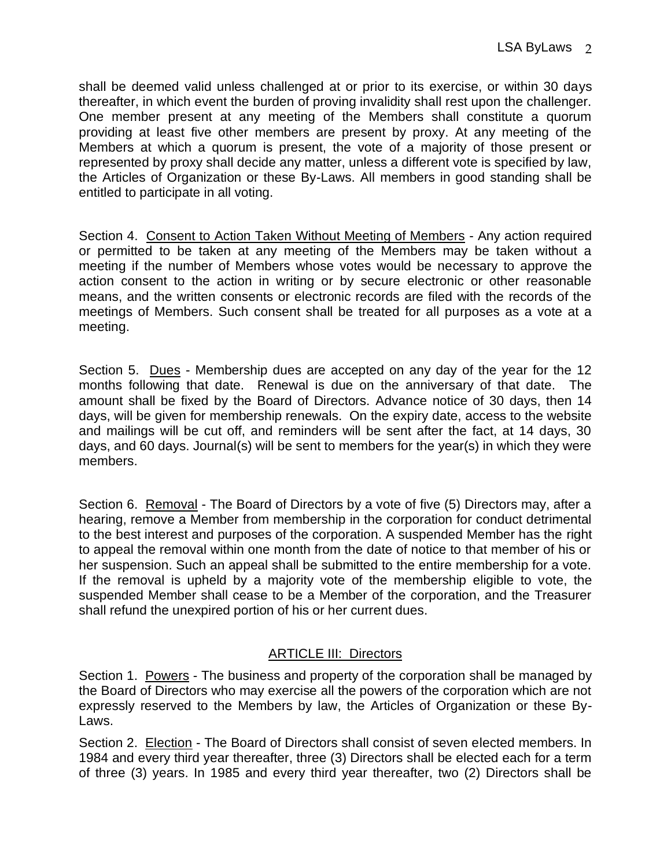shall be deemed valid unless challenged at or prior to its exercise, or within 30 days thereafter, in which event the burden of proving invalidity shall rest upon the challenger. One member present at any meeting of the Members shall constitute a quorum providing at least five other members are present by proxy. At any meeting of the Members at which a quorum is present, the vote of a majority of those present or represented by proxy shall decide any matter, unless a different vote is specified by law, the Articles of Organization or these By-Laws. All members in good standing shall be entitled to participate in all voting.

Section 4. Consent to Action Taken Without Meeting of Members - Any action required or permitted to be taken at any meeting of the Members may be taken without a meeting if the number of Members whose votes would be necessary to approve the action consent to the action in writing or by secure electronic or other reasonable means, and the written consents or electronic records are filed with the records of the meetings of Members. Such consent shall be treated for all purposes as a vote at a meeting.

Section 5. Dues - Membership dues are accepted on any day of the year for the 12 months following that date. Renewal is due on the anniversary of that date. The amount shall be fixed by the Board of Directors. Advance notice of 30 days, then 14 days, will be given for membership renewals. On the expiry date, access to the website and mailings will be cut off, and reminders will be sent after the fact, at 14 days, 30 days, and 60 days. Journal(s) will be sent to members for the year(s) in which they were members.

Section 6. Removal - The Board of Directors by a vote of five (5) Directors may, after a hearing, remove a Member from membership in the corporation for conduct detrimental to the best interest and purposes of the corporation. A suspended Member has the right to appeal the removal within one month from the date of notice to that member of his or her suspension. Such an appeal shall be submitted to the entire membership for a vote. If the removal is upheld by a majority vote of the membership eligible to vote, the suspended Member shall cease to be a Member of the corporation, and the Treasurer shall refund the unexpired portion of his or her current dues.

## ARTICLE III: Directors

Section 1. Powers - The business and property of the corporation shall be managed by the Board of Directors who may exercise all the powers of the corporation which are not expressly reserved to the Members by law, the Articles of Organization or these By-Laws.

Section 2. Election - The Board of Directors shall consist of seven elected members. In 1984 and every third year thereafter, three (3) Directors shall be elected each for a term of three (3) years. In 1985 and every third year thereafter, two (2) Directors shall be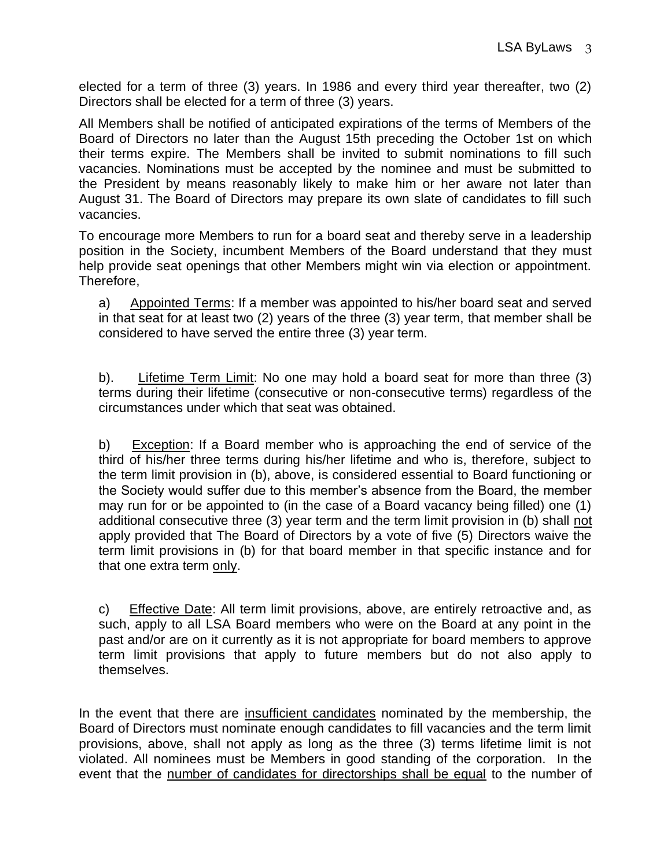elected for a term of three (3) years. In 1986 and every third year thereafter, two (2) Directors shall be elected for a term of three (3) years.

All Members shall be notified of anticipated expirations of the terms of Members of the Board of Directors no later than the August 15th preceding the October 1st on which their terms expire. The Members shall be invited to submit nominations to fill such vacancies. Nominations must be accepted by the nominee and must be submitted to the President by means reasonably likely to make him or her aware not later than August 31. The Board of Directors may prepare its own slate of candidates to fill such vacancies.

To encourage more Members to run for a board seat and thereby serve in a leadership position in the Society, incumbent Members of the Board understand that they must help provide seat openings that other Members might win via election or appointment. Therefore,

a) Appointed Terms: If a member was appointed to his/her board seat and served in that seat for at least two (2) years of the three (3) year term, that member shall be considered to have served the entire three (3) year term.

b). Lifetime Term Limit: No one may hold a board seat for more than three (3) terms during their lifetime (consecutive or non-consecutive terms) regardless of the circumstances under which that seat was obtained.

b) Exception: If a Board member who is approaching the end of service of the third of his/her three terms during his/her lifetime and who is, therefore, subject to the term limit provision in (b), above, is considered essential to Board functioning or the Society would suffer due to this member's absence from the Board, the member may run for or be appointed to (in the case of a Board vacancy being filled) one (1) additional consecutive three (3) year term and the term limit provision in (b) shall not apply provided that The Board of Directors by a vote of five (5) Directors waive the term limit provisions in (b) for that board member in that specific instance and for that one extra term only.

c) Effective Date: All term limit provisions, above, are entirely retroactive and, as such, apply to all LSA Board members who were on the Board at any point in the past and/or are on it currently as it is not appropriate for board members to approve term limit provisions that apply to future members but do not also apply to themselves.

In the event that there are insufficient candidates nominated by the membership, the Board of Directors must nominate enough candidates to fill vacancies and the term limit provisions, above, shall not apply as long as the three (3) terms lifetime limit is not violated. All nominees must be Members in good standing of the corporation. In the event that the number of candidates for directorships shall be equal to the number of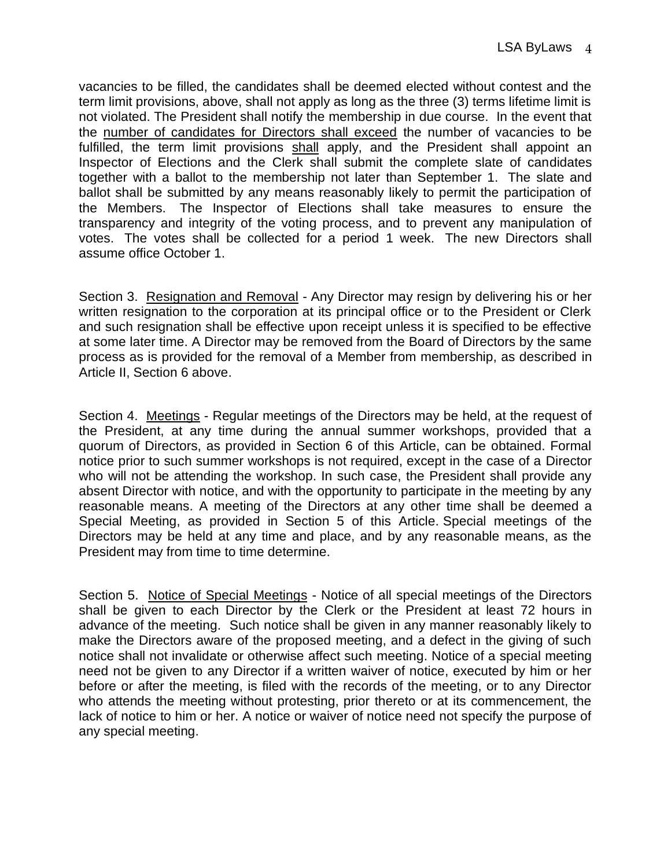vacancies to be filled, the candidates shall be deemed elected without contest and the term limit provisions, above, shall not apply as long as the three (3) terms lifetime limit is not violated. The President shall notify the membership in due course. In the event that the number of candidates for Directors shall exceed the number of vacancies to be fulfilled, the term limit provisions shall apply, and the President shall appoint an Inspector of Elections and the Clerk shall submit the complete slate of candidates together with a ballot to the membership not later than September 1. The slate and ballot shall be submitted by any means reasonably likely to permit the participation of the Members. The Inspector of Elections shall take measures to ensure the transparency and integrity of the voting process, and to prevent any manipulation of votes. The votes shall be collected for a period 1 week. The new Directors shall assume office October 1.

Section 3. Resignation and Removal - Any Director may resign by delivering his or her written resignation to the corporation at its principal office or to the President or Clerk and such resignation shall be effective upon receipt unless it is specified to be effective at some later time. A Director may be removed from the Board of Directors by the same process as is provided for the removal of a Member from membership, as described in Article II, Section 6 above.

Section 4. Meetings - Regular meetings of the Directors may be held, at the request of the President, at any time during the annual summer workshops, provided that a quorum of Directors, as provided in Section 6 of this Article, can be obtained. Formal notice prior to such summer workshops is not required, except in the case of a Director who will not be attending the workshop. In such case, the President shall provide any absent Director with notice, and with the opportunity to participate in the meeting by any reasonable means. A meeting of the Directors at any other time shall be deemed a Special Meeting, as provided in Section 5 of this Article. Special meetings of the Directors may be held at any time and place, and by any reasonable means, as the President may from time to time determine.

Section 5. Notice of Special Meetings - Notice of all special meetings of the Directors shall be given to each Director by the Clerk or the President at least 72 hours in advance of the meeting. Such notice shall be given in any manner reasonably likely to make the Directors aware of the proposed meeting, and a defect in the giving of such notice shall not invalidate or otherwise affect such meeting. Notice of a special meeting need not be given to any Director if a written waiver of notice, executed by him or her before or after the meeting, is filed with the records of the meeting, or to any Director who attends the meeting without protesting, prior thereto or at its commencement, the lack of notice to him or her. A notice or waiver of notice need not specify the purpose of any special meeting.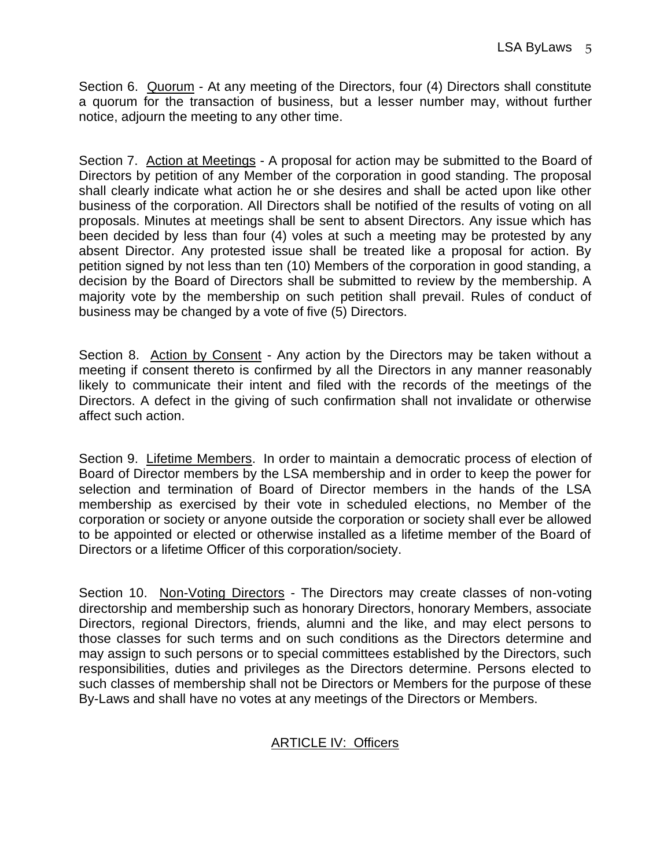Section 6. Quorum - At any meeting of the Directors, four (4) Directors shall constitute a quorum for the transaction of business, but a lesser number may, without further notice, adjourn the meeting to any other time.

Section 7. Action at Meetings - A proposal for action may be submitted to the Board of Directors by petition of any Member of the corporation in good standing. The proposal shall clearly indicate what action he or she desires and shall be acted upon like other business of the corporation. All Directors shall be notified of the results of voting on all proposals. Minutes at meetings shall be sent to absent Directors. Any issue which has been decided by less than four (4) voles at such a meeting may be protested by any absent Director. Any protested issue shall be treated like a proposal for action. By petition signed by not less than ten (10) Members of the corporation in good standing, a decision by the Board of Directors shall be submitted to review by the membership. A majority vote by the membership on such petition shall prevail. Rules of conduct of business may be changed by a vote of five (5) Directors.

Section 8. Action by Consent - Any action by the Directors may be taken without a meeting if consent thereto is confirmed by all the Directors in any manner reasonably likely to communicate their intent and filed with the records of the meetings of the Directors. A defect in the giving of such confirmation shall not invalidate or otherwise affect such action.

Section 9. Lifetime Members. In order to maintain a democratic process of election of Board of Director members by the LSA membership and in order to keep the power for selection and termination of Board of Director members in the hands of the LSA membership as exercised by their vote in scheduled elections, no Member of the corporation or society or anyone outside the corporation or society shall ever be allowed to be appointed or elected or otherwise installed as a lifetime member of the Board of Directors or a lifetime Officer of this corporation/society.

Section 10. Non-Voting Directors - The Directors may create classes of non-voting directorship and membership such as honorary Directors, honorary Members, associate Directors, regional Directors, friends, alumni and the like, and may elect persons to those classes for such terms and on such conditions as the Directors determine and may assign to such persons or to special committees established by the Directors, such responsibilities, duties and privileges as the Directors determine. Persons elected to such classes of membership shall not be Directors or Members for the purpose of these By-Laws and shall have no votes at any meetings of the Directors or Members.

## ARTICLE IV: Officers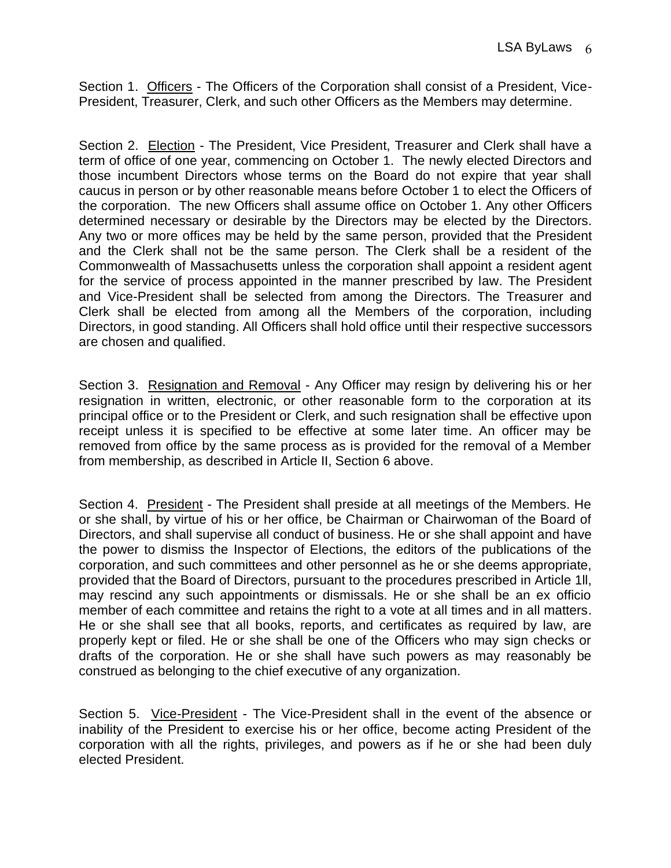Section 1. Officers - The Officers of the Corporation shall consist of a President, Vice-President, Treasurer, Clerk, and such other Officers as the Members may determine.

Section 2. Election - The President, Vice President, Treasurer and Clerk shall have a term of office of one year, commencing on October 1. The newly elected Directors and those incumbent Directors whose terms on the Board do not expire that year shall caucus in person or by other reasonable means before October 1 to elect the Officers of the corporation. The new Officers shall assume office on October 1. Any other Officers determined necessary or desirable by the Directors may be elected by the Directors. Any two or more offices may be held by the same person, provided that the President and the Clerk shall not be the same person. The Clerk shall be a resident of the Commonwealth of Massachusetts unless the corporation shall appoint a resident agent for the service of process appointed in the manner prescribed by law. The President and Vice-President shall be selected from among the Directors. The Treasurer and Clerk shall be elected from among all the Members of the corporation, including Directors, in good standing. All Officers shall hold office until their respective successors are chosen and qualified.

Section 3. Resignation and Removal - Any Officer may resign by delivering his or her resignation in written, electronic, or other reasonable form to the corporation at its principal office or to the President or Clerk, and such resignation shall be effective upon receipt unless it is specified to be effective at some later time. An officer may be removed from office by the same process as is provided for the removal of a Member from membership, as described in Article II, Section 6 above.

Section 4. President - The President shall preside at all meetings of the Members. He or she shall, by virtue of his or her office, be Chairman or Chairwoman of the Board of Directors, and shall supervise all conduct of business. He or she shall appoint and have the power to dismiss the Inspector of Elections, the editors of the publications of the corporation, and such committees and other personnel as he or she deems appropriate, provided that the Board of Directors, pursuant to the procedures prescribed in Article 1ll, may rescind any such appointments or dismissals. He or she shall be an ex officio member of each committee and retains the right to a vote at all times and in all matters. He or she shall see that all books, reports, and certificates as required by law, are properly kept or filed. He or she shall be one of the Officers who may sign checks or drafts of the corporation. He or she shall have such powers as may reasonably be construed as belonging to the chief executive of any organization.

Section 5. Vice-President - The Vice-President shall in the event of the absence or inability of the President to exercise his or her office, become acting President of the corporation with all the rights, privileges, and powers as if he or she had been duly elected President.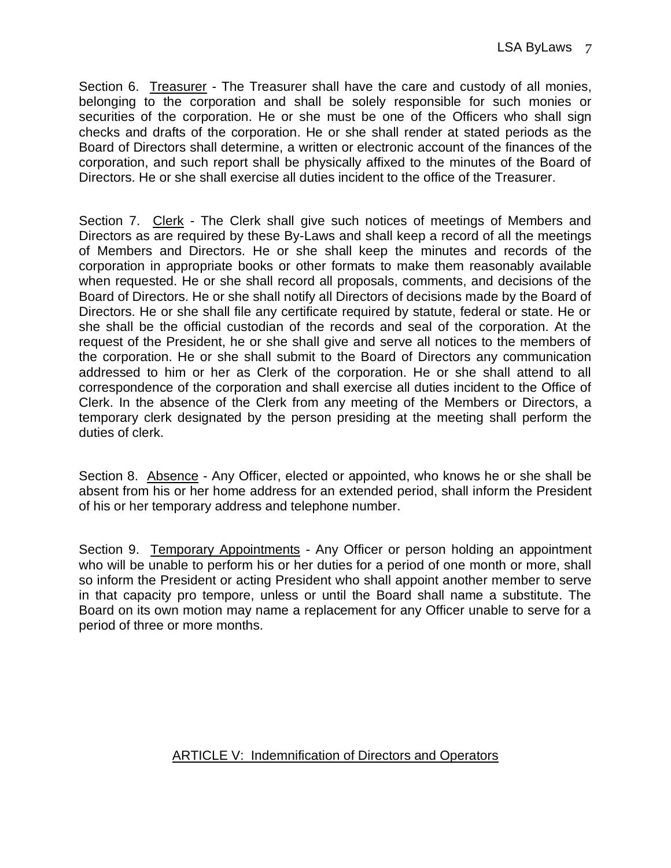Section 6. Treasurer - The Treasurer shall have the care and custody of all monies, belonging to the corporation and shall be solely responsible for such monies or securities of the corporation. He or she must be one of the Officers who shall sign checks and drafts of the corporation. He or she shall render at stated periods as the Board of Directors shall determine, a written or electronic account of the finances of the corporation, and such report shall be physically affixed to the minutes of the Board of Directors. He or she shall exercise all duties incident to the office of the Treasurer.

Section 7. Clerk - The Clerk shall give such notices of meetings of Members and Directors as are required by these By-Laws and shall keep a record of all the meetings of Members and Directors. He or she shall keep the minutes and records of the corporation in appropriate books or other formats to make them reasonably available when requested. He or she shall record all proposals, comments, and decisions of the Board of Directors. He or she shall notify all Directors of decisions made by the Board of Directors. He or she shall file any certificate required by statute, federal or state. He or she shall be the official custodian of the records and seal of the corporation. At the request of the President, he or she shall give and serve all notices to the members of the corporation. He or she shall submit to the Board of Directors any communication addressed to him or her as Clerk of the corporation. He or she shall attend to all correspondence of the corporation and shall exercise all duties incident to the Office of Clerk. In the absence of the Clerk from any meeting of the Members or Directors, a temporary clerk designated by the person presiding at the meeting shall perform the duties of clerk.

Section 8. Absence - Any Officer, elected or appointed, who knows he or she shall be absent from his or her home address for an extended period, shall inform the President of his or her temporary address and telephone number.

Section 9. Temporary Appointments - Any Officer or person holding an appointment who will be unable to perform his or her duties for a period of one month or more, shall so inform the President or acting President who shall appoint another member to serve in that capacity pro tempore, unless or until the Board shall name a substitute. The Board on its own motion may name a replacement for any Officer unable to serve for a period of three or more months.

# ARTICLE V: Indemnification of Directors and Operators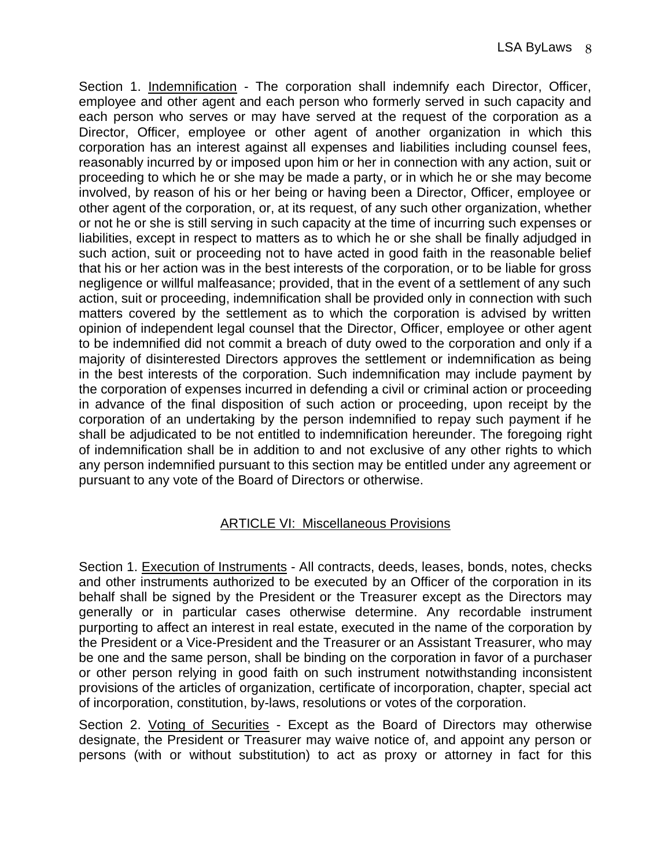Section 1. Indemnification - The corporation shall indemnify each Director, Officer, employee and other agent and each person who formerly served in such capacity and each person who serves or may have served at the request of the corporation as a Director, Officer, employee or other agent of another organization in which this corporation has an interest against all expenses and liabilities including counsel fees, reasonably incurred by or imposed upon him or her in connection with any action, suit or proceeding to which he or she may be made a party, or in which he or she may become involved, by reason of his or her being or having been a Director, Officer, employee or other agent of the corporation, or, at its request, of any such other organization, whether or not he or she is still serving in such capacity at the time of incurring such expenses or liabilities, except in respect to matters as to which he or she shall be finally adjudged in such action, suit or proceeding not to have acted in good faith in the reasonable belief that his or her action was in the best interests of the corporation, or to be liable for gross negligence or willful malfeasance; provided, that in the event of a settlement of any such action, suit or proceeding, indemnification shall be provided only in connection with such matters covered by the settlement as to which the corporation is advised by written opinion of independent legal counsel that the Director, Officer, employee or other agent to be indemnified did not commit a breach of duty owed to the corporation and only if a majority of disinterested Directors approves the settlement or indemnification as being in the best interests of the corporation. Such indemnification may include payment by the corporation of expenses incurred in defending a civil or criminal action or proceeding in advance of the final disposition of such action or proceeding, upon receipt by the corporation of an undertaking by the person indemnified to repay such payment if he shall be adjudicated to be not entitled to indemnification hereunder. The foregoing right of indemnification shall be in addition to and not exclusive of any other rights to which any person indemnified pursuant to this section may be entitled under any agreement or pursuant to any vote of the Board of Directors or otherwise.

### ARTICLE VI: Miscellaneous Provisions

Section 1. Execution of Instruments - All contracts, deeds, leases, bonds, notes, checks and other instruments authorized to be executed by an Officer of the corporation in its behalf shall be signed by the President or the Treasurer except as the Directors may generally or in particular cases otherwise determine. Any recordable instrument purporting to affect an interest in real estate, executed in the name of the corporation by the President or a Vice-President and the Treasurer or an Assistant Treasurer, who may be one and the same person, shall be binding on the corporation in favor of a purchaser or other person relying in good faith on such instrument notwithstanding inconsistent provisions of the articles of organization, certificate of incorporation, chapter, special act of incorporation, constitution, by-laws, resolutions or votes of the corporation.

Section 2. Voting of Securities - Except as the Board of Directors may otherwise designate, the President or Treasurer may waive notice of, and appoint any person or persons (with or without substitution) to act as proxy or attorney in fact for this